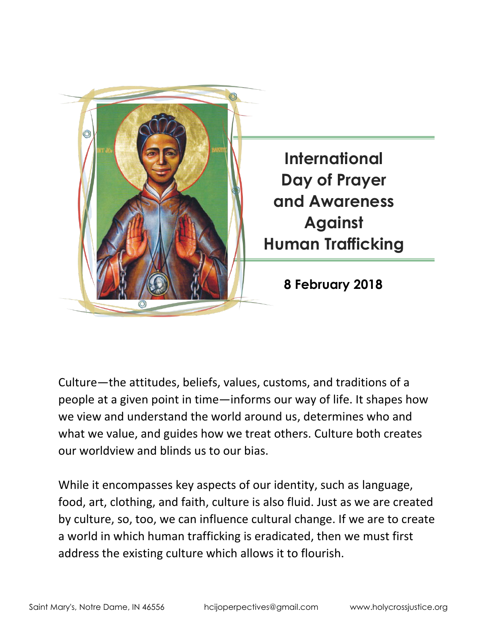

Culture—the attitudes, beliefs, values, customs, and traditions of a people at a given point in time—informs our way of life. It shapes how we view and understand the world around us, determines who and what we value, and guides how we treat others. Culture both creates our worldview and blinds us to our bias.

While it encompasses key aspects of our identity, such as language, food, art, clothing, and faith, culture is also fluid. Just as we are created by culture, so, too, we can influence cultural change. If we are to create a world in which human trafficking is eradicated, then we must first address the existing culture which allows it to flourish.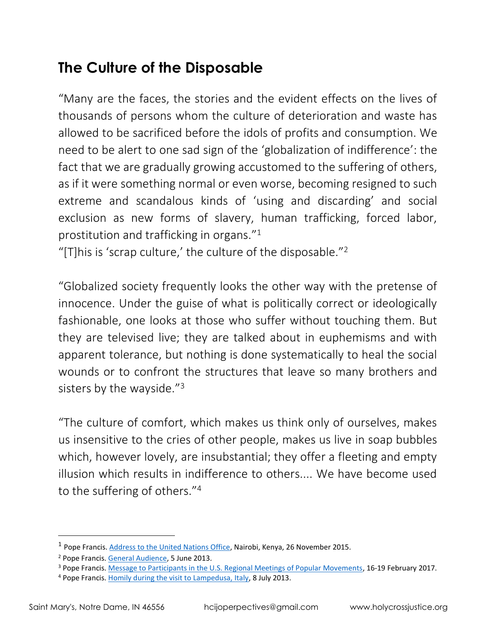#### **The Culture of the Disposable**

"Many are the faces, the stories and the evident effects on the lives of thousands of persons whom the culture of deterioration and waste has allowed to be sacrificed before the idols of profits and consumption. We need to be alert to one sad sign of the 'globalization of indifference': the fact that we are gradually growing accustomed to the suffering of others, as if it were something normal or even worse, becoming resigned to such extreme and scandalous kinds of 'using and discarding' and social exclusion as new forms of slavery, human trafficking, forced labor, prostitution and trafficking in organs." $^{\rm 1}$ 

"[T] his is 'scrap culture,' the culture of the disposable."<sup>2</sup>

"Globalized society frequently looks the other way with the pretense of innocence. Under the guise of what is politically correct or ideologically fashionable, one looks at those who suffer without touching them. But they are televised live; they are talked about in euphemisms and with apparent tolerance, but nothing is done systematically to heal the social wounds or to confront the structures that leave so many brothers and sisters by the wayside."<sup>3</sup>

"The culture of comfort, which makes us think only of ourselves, makes us insensitive to the cries of other people, makes us live in soap bubbles which, however lovely, are insubstantial; they offer a fleeting and empty illusion which results in indifference to others.... We have become used to the suffering of others." 4

 $\overline{a}$ 

<sup>&</sup>lt;sup>1</sup> Pope Francis. [Address to the United Nations Office,](http://w2.vatican.va/content/francesco/en/speeches/2015/november/documents/papa-francesco_20151126_kenya-unon.html) Nairobi, Kenya, 26 November 2015.

<sup>2</sup> Pope Francis. [General Audience,](https://w2.vatican.va/content/francesco/en/audiences/2013/documents/papa-francesco_20130605_udienza-generale.html) 5 June 2013.

<sup>&</sup>lt;sup>3</sup> Pope Francis. [Message to Participants in the U.S. Regional Meetings of Popular Movements,](http://popularmovements.org/wp-content/uploads/2017/02/POPE-FRANCIS-MESSAGE-TO-USWMPM.pdf) 16-19 February 2017.

<sup>&</sup>lt;sup>4</sup> Pope Francis. [Homily during the visit to Lampedusa, Italy,](https://w2.vatican.va/content/francesco/en/homilies/2013/documents/papa-francesco_20130708_omelia-lampedusa.html) 8 July 2013.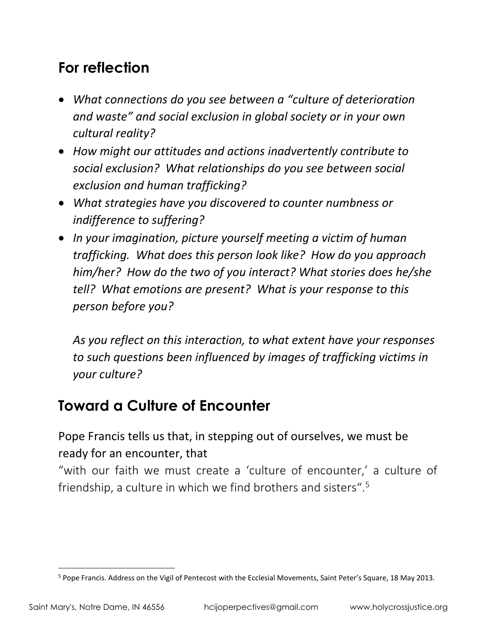#### **For reflection**

- *What connections do you see between a "culture of deterioration and waste" and social exclusion in global society or in your own cultural reality?*
- *How might our attitudes and actions inadvertently contribute to social exclusion? What relationships do you see between social exclusion and human trafficking?*
- *What strategies have you discovered to counter numbness or indifference to suffering?*
- *In your imagination, picture yourself meeting a victim of human trafficking. What does this person look like? How do you approach him/her? How do the two of you interact? What stories does he/she tell? What emotions are present? What is your response to this person before you?*

*As you reflect on this interaction, to what extent have your responses to such questions been influenced by images of trafficking victims in your culture?*

### **Toward a Culture of Encounter**

Pope Francis tells us that, in stepping out of ourselves, we must be ready for an encounter, that

"with our faith we must create a 'culture of encounter,' a culture of friendship, a culture in which we find brothers and sisters". 5

 $\overline{a}$ 

<sup>&</sup>lt;sup>5</sup> Pope Francis. Address on the Vigil of Pentecost with the Ecclesial Movements, Saint Peter's Square, 18 May 2013.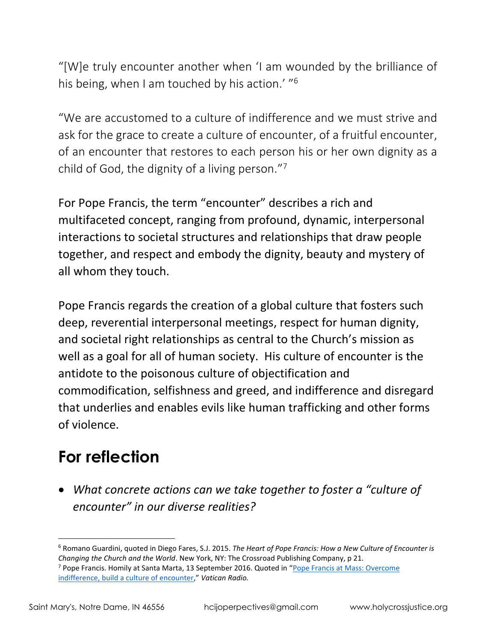"[W]e truly encounter another when 'I am wounded by the brilliance of his being, when I am touched by his action.' "<sup>6</sup>

"We are accustomed to a culture of indifference and we must strive and ask for the grace to create a culture of encounter, of a fruitful encounter, of an encounter that restores to each person his or her own dignity as a child of God, the dignity of a living person."<sup>7</sup>

For Pope Francis, the term "encounter" describes a rich and multifaceted concept, ranging from profound, dynamic, interpersonal interactions to societal structures and relationships that draw people together, and respect and embody the dignity, beauty and mystery of all whom they touch.

Pope Francis regards the creation of a global culture that fosters such deep, reverential interpersonal meetings, respect for human dignity, and societal right relationships as central to the Church's mission as well as a goal for all of human society. His culture of encounter is the antidote to the poisonous culture of objectification and commodification, selfishness and greed, and indifference and disregard that underlies and enables evils like human trafficking and other forms of violence.

# **For reflection**

• *What concrete actions can we take together to foster a "culture of encounter" in our diverse realities?* 

 $\overline{a}$ <sup>6</sup> Romano Guardini, quoted in Diego Fares, S.J. 2015. *The Heart of Pope Francis: How a New Culture of Encounter is Changing the Church and the World*. New York, NY: The Crossroad Publishing Company, p 21.

<sup>7</sup> Pope Francis. Homily at Santa Marta, 13 September 2016. Quoted in "[Pope Francis at Mass: Overcome](http://en.radiovaticana.va/news/2016/09/13/pope_overcome_indifference,_build_a_culture_of_encounter/1257732)  [indifference, build a culture of encounter](http://en.radiovaticana.va/news/2016/09/13/pope_overcome_indifference,_build_a_culture_of_encounter/1257732)," *Vatican Radio.*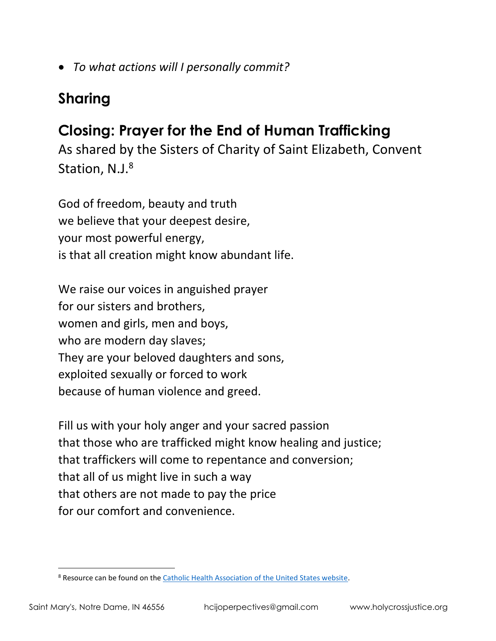• *To what actions will I personally commit?*

## **Sharing**

### **Closing: Prayer for the End of Human Trafficking**

As shared by the Sisters of Charity of Saint Elizabeth, Convent Station, N.J.<sup>8</sup>

God of freedom, beauty and truth we believe that your deepest desire, your most powerful energy, is that all creation might know abundant life.

We raise our voices in anguished prayer for our sisters and brothers, women and girls, men and boys, who are modern day slaves; They are your beloved daughters and sons, exploited sexually or forced to work because of human violence and greed.

Fill us with your holy anger and your sacred passion that those who are trafficked might know healing and justice; that traffickers will come to repentance and conversion; that all of us might live in such a way that others are not made to pay the price for our comfort and convenience.

 $\overline{a}$ 

<sup>&</sup>lt;sup>8</sup> Resource can be found on the [Catholic Health Association of the United States website.](https://www.chausa.org/prayers/prayer-library/general-prayers-and-prayer-services/healing-and-health/a-prayer-for-victims-of-human-trafficking)